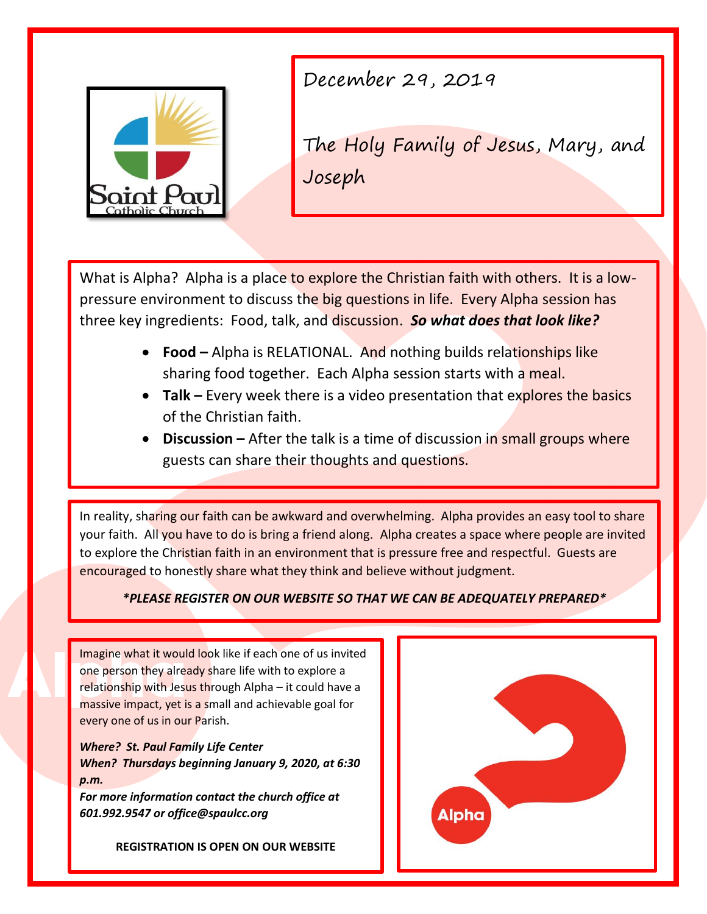

December 29, 2019

The Holy Family of Jesus, Mary, and Joseph

What is Alpha? Alpha is a place to explore the Christian faith with others. It is a lowpressure environment to discuss the big questions in life. Every Alpha session has three key ingredients: Food, talk, and discussion. *So what does that look like?*

- **Food** Alpha is RELATIONAL. And nothing builds relationships like sharing food together. Each Alpha session starts with a meal.
- **Talk –** Every week there is a video presentation that explores the basics of the Christian faith.
- **Discussion** After the talk is a time of discussion in small groups where guests can share their thoughts and questions.

In reality, sharing our faith can be awkward and overwhelming. Alpha provides an easy tool to share your faith. All you have to do is bring a friend along. Alpha creates a space where people are invited to explore the Christian faith in an environment that is pressure free and respectful. Guests are encouraged to honestly share what they think and believe without judgment.

## *\*PLEASE REGISTER ON OUR WEBSITE SO THAT WE CAN BE ADEQUATELY PREPARED\**

Imagine what it would look like if each one of us invited one person they already share life with to explore a relationship with Jesus through Alpha – it could have a massive impact, yet is a small and achievable goal for every one of us in our Parish.

*Where? St. Paul Family Life Center When? Thursdays beginning January 9, 2020, at 6:30 p.m.*

*For more information contact the church office at 601.992.9547 or office@spaulcc.org* 

**REGISTRATION IS OPEN ON OUR WEBSITE**